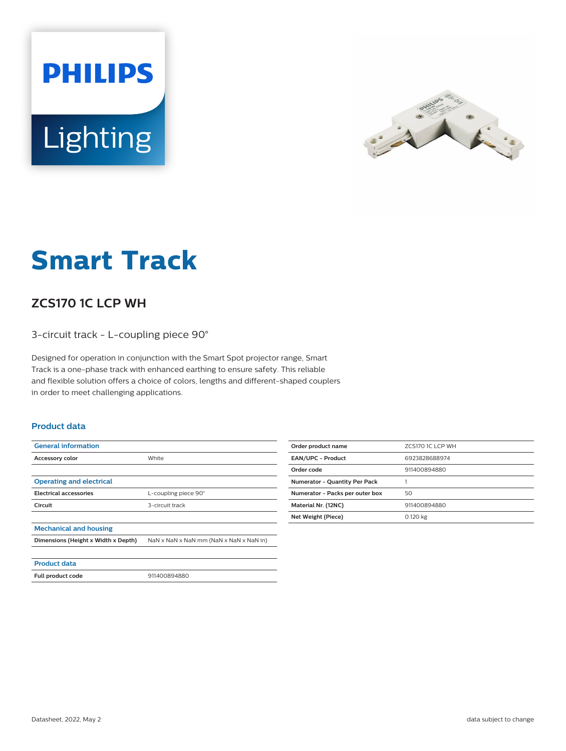



# **Smart Track**

## **ZCS170 1C LCP WH**

3-circuit track - L-coupling piece 90°

Designed for operation in conjunction with the Smart Spot projector range, Smart Track is a one-phase track with enhanced earthing to ensure safety. This reliable and flexible solution offers a choice of colors, lengths and different-shaped couplers in order to meet challenging applications.

#### **Product data**

| <b>General information</b>          |                                         |
|-------------------------------------|-----------------------------------------|
| <b>Accessory color</b>              | White                                   |
|                                     |                                         |
| <b>Operating and electrical</b>     |                                         |
| <b>Electrical accessories</b>       | L-coupling piece 90°                    |
| Circuit                             | 3-circuit track                         |
|                                     |                                         |
| <b>Mechanical and housing</b>       |                                         |
| Dimensions (Height x Width x Depth) | NaN x NaN x NaN mm (NaN x NaN x NaN in) |
|                                     |                                         |
| <b>Product data</b>                 |                                         |

| Order product name                   | ZCS170 1C LCP WH |
|--------------------------------------|------------------|
| <b>EAN/UPC - Product</b>             | 6923828688974    |
| Order code                           | 911400894880     |
| <b>Numerator - Quantity Per Pack</b> |                  |
| Numerator - Packs per outer box      | 50               |
| Material Nr. (12NC)                  | 911400894880     |
| Net Weight (Piece)                   | 0.120 kg         |
|                                      |                  |

**Full product code** 911400894880